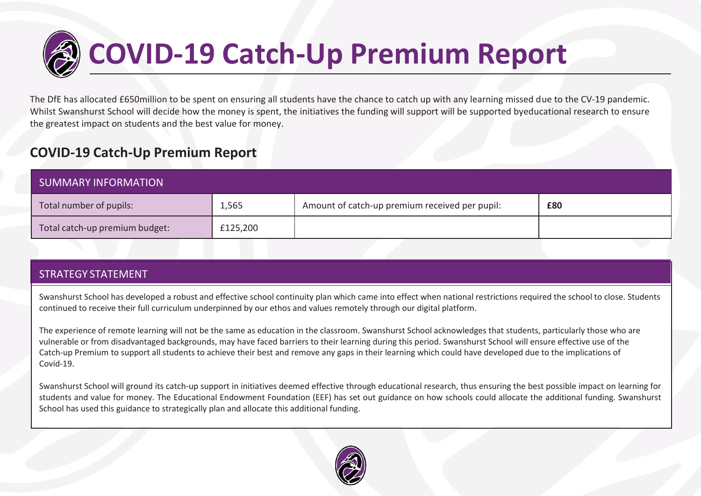

# **COVID-19 Catch-Up Premium Report**

The DfE has allocated £650million to be spent on ensuring all students have the chance to catch up with any learning missed due to the CV-19 pandemic. Whilst Swanshurst School will decide how the money is spent, the initiatives the funding will support will be supported byeducational research to ensure the greatest impact on students and the best value for money.

## **COVID-19 Catch-Up Premium Report**

| <b>SUMMARY INFORMATION</b>     |          |                                                |     |  |  |
|--------------------------------|----------|------------------------------------------------|-----|--|--|
| Total number of pupils:        | 1,565    | Amount of catch-up premium received per pupil: | £80 |  |  |
| Total catch-up premium budget: | £125,200 |                                                |     |  |  |

### STRATEGY STATEMENT

Swanshurst School has developed a robust and effective school continuity plan which came into effect when national restrictions required the school to close. Students continued to receive their full curriculum underpinned by our ethos and values remotely through our digital platform.

The experience of remote learning will not be the same as education in the classroom. Swanshurst School acknowledges that students, particularly those who are vulnerable or from disadvantaged backgrounds, may have faced barriers to their learning during this period. Swanshurst School will ensure effective use of the Catch-up Premium to support all students to achieve their best and remove any gaps in their learning which could have developed due to the implications of Covid-19.

Swanshurst School will ground its catch-up support in initiatives deemed effective through educational research, thus ensuring the best possible impact on learning for students and value for money. The Educational Endowment Foundation (EEF) has set out guidance on how schools could allocate the additional funding. Swanshurst School has used this guidance to strategically plan and allocate this additional funding.

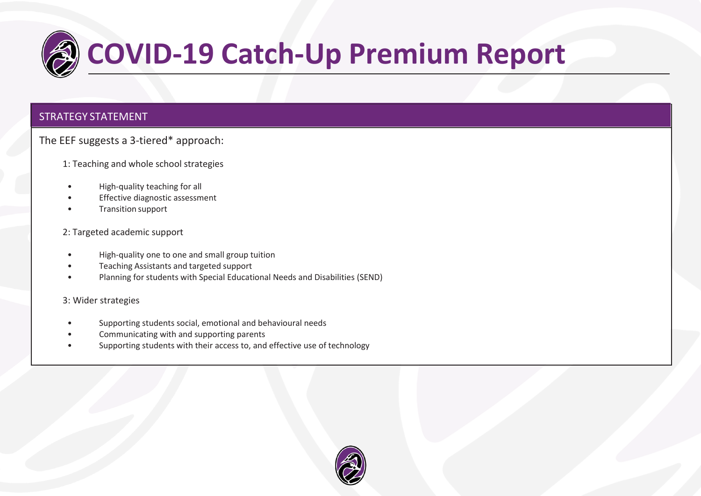

#### STRATEGY STATEMENT

The EEF suggests a 3-tiered\* approach:

1: Teaching and whole school strategies

- High-quality teaching for all
- Effective diagnostic assessment
- Transition support

#### 2: Targeted academic support

- High-quality one to one and small group tuition
- Teaching Assistants and targeted support
- Planning for students with Special Educational Needs and Disabilities (SEND)

#### 3: Wider strategies

- Supporting students social, emotional and behavioural needs
- Communicating with and supporting parents
- Supporting students with their access to, and effective use of technology

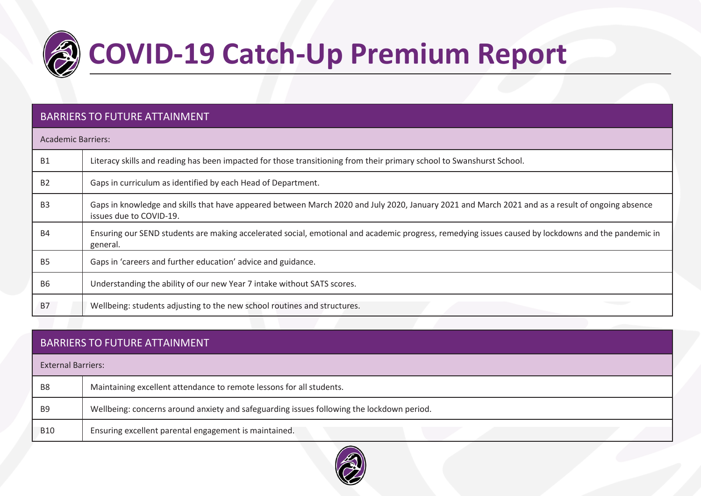

# **COVID-19 Catch-Up Premium Report**

### BARRIERS TO FUTURE ATTAINMENT

| <b>Academic Barriers:</b> |                                                                                                                                                                             |
|---------------------------|-----------------------------------------------------------------------------------------------------------------------------------------------------------------------------|
| <b>B1</b>                 | Literacy skills and reading has been impacted for those transitioning from their primary school to Swanshurst School.                                                       |
| B <sub>2</sub>            | Gaps in curriculum as identified by each Head of Department.                                                                                                                |
| B <sub>3</sub>            | Gaps in knowledge and skills that have appeared between March 2020 and July 2020, January 2021 and March 2021 and as a result of ongoing absence<br>issues due to COVID-19. |
| <b>B4</b>                 | Ensuring our SEND students are making accelerated social, emotional and academic progress, remedying issues caused by lockdowns and the pandemic in<br>general.             |
| B <sub>5</sub>            | Gaps in 'careers and further education' advice and guidance.                                                                                                                |
| <b>B6</b>                 | Understanding the ability of our new Year 7 intake without SATS scores.                                                                                                     |
| <b>B7</b>                 | Wellbeing: students adjusting to the new school routines and structures.                                                                                                    |

|                           | <b>BARRIERS TO FUTURE ATTAINMENT</b>                                                      |  |  |  |  |  |  |
|---------------------------|-------------------------------------------------------------------------------------------|--|--|--|--|--|--|
| <b>External Barriers:</b> |                                                                                           |  |  |  |  |  |  |
| B <sub>8</sub>            | Maintaining excellent attendance to remote lessons for all students.                      |  |  |  |  |  |  |
| B <sub>9</sub>            | Wellbeing: concerns around anxiety and safeguarding issues following the lockdown period. |  |  |  |  |  |  |
| <b>B10</b>                | Ensuring excellent parental engagement is maintained.                                     |  |  |  |  |  |  |

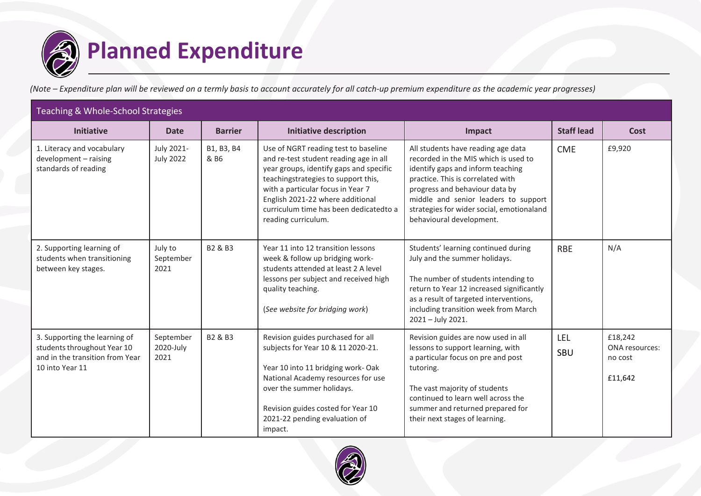

(Note – Expenditure plan will be reviewed on a termly basis to account accurately for all catch-up premium expenditure as the academic year progresses)

| Teaching & Whole-School Strategies                                                                                 |                                |                    |                                                                                                                                                                                                                                                                                                             |                                                                                                                                                                                                                                                                                                         |                   |                                                 |  |  |
|--------------------------------------------------------------------------------------------------------------------|--------------------------------|--------------------|-------------------------------------------------------------------------------------------------------------------------------------------------------------------------------------------------------------------------------------------------------------------------------------------------------------|---------------------------------------------------------------------------------------------------------------------------------------------------------------------------------------------------------------------------------------------------------------------------------------------------------|-------------------|-------------------------------------------------|--|--|
| <b>Initiative</b>                                                                                                  | <b>Date</b>                    | <b>Barrier</b>     | <b>Initiative description</b>                                                                                                                                                                                                                                                                               | Impact                                                                                                                                                                                                                                                                                                  | <b>Staff lead</b> | Cost                                            |  |  |
| 1. Literacy and vocabulary<br>development - raising<br>standards of reading                                        | July 2021-<br><b>July 2022</b> | B1, B3, B4<br>& B6 | Use of NGRT reading test to baseline<br>and re-test student reading age in all<br>year groups, identify gaps and specific<br>teachingstrategies to support this,<br>with a particular focus in Year 7<br>English 2021-22 where additional<br>curriculum time has been dedicated to a<br>reading curriculum. | All students have reading age data<br>recorded in the MIS which is used to<br>identify gaps and inform teaching<br>practice. This is correlated with<br>progress and behaviour data by<br>middle and senior leaders to support<br>strategies for wider social, emotionaland<br>behavioural development. | <b>CME</b>        | £9,920                                          |  |  |
| 2. Supporting learning of<br>students when transitioning<br>between key stages.                                    | July to<br>September<br>2021   | B2 & B3            | Year 11 into 12 transition lessons<br>week & follow up bridging work-<br>students attended at least 2 A level<br>lessons per subject and received high<br>quality teaching.<br>(See website for bridging work)                                                                                              | Students' learning continued during<br>July and the summer holidays.<br>The number of students intending to<br>return to Year 12 increased significantly<br>as a result of targeted interventions,<br>including transition week from March<br>2021 - July 2021.                                         | <b>RBE</b>        | N/A                                             |  |  |
| 3. Supporting the learning of<br>students throughout Year 10<br>and in the transition from Year<br>10 into Year 11 | September<br>2020-July<br>2021 | B2 & B3            | Revision guides purchased for all<br>subjects for Year 10 & 11 2020-21.<br>Year 10 into 11 bridging work-Oak<br>National Academy resources for use<br>over the summer holidays.<br>Revision guides costed for Year 10<br>2021-22 pending evaluation of<br>impact.                                           | Revision guides are now used in all<br>lessons to support learning, with<br>a particular focus on pre and post<br>tutoring.<br>The vast majority of students<br>continued to learn well across the<br>summer and returned prepared for<br>their next stages of learning.                                | LEL<br>SBU        | £18,242<br>ONA resources:<br>no cost<br>£11,642 |  |  |

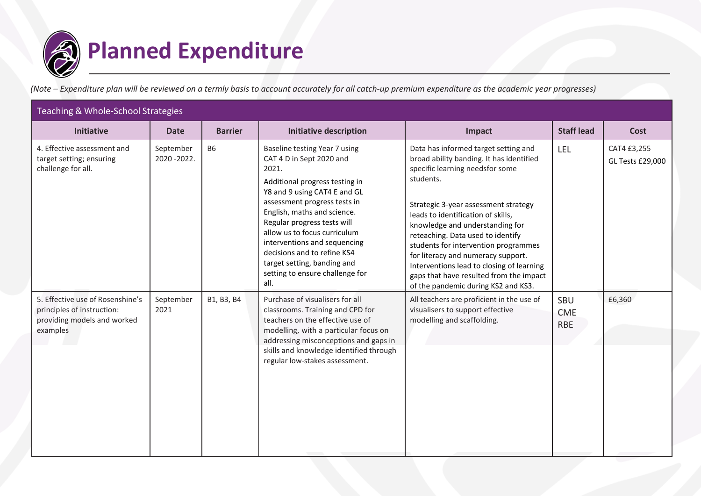

(Note – Expenditure plan will be reviewed on a termly basis to account accurately for all catch-up premium expenditure as the academic year progresses)

| Teaching & Whole-School Strategies                                                                        |                         |                |                                                                                                                                                                                                                                                                                                                                                                                                             |                                                                                                                                                                                                                                                                                                                                                                                                                                                                                                     |                                 |                                 |  |  |
|-----------------------------------------------------------------------------------------------------------|-------------------------|----------------|-------------------------------------------------------------------------------------------------------------------------------------------------------------------------------------------------------------------------------------------------------------------------------------------------------------------------------------------------------------------------------------------------------------|-----------------------------------------------------------------------------------------------------------------------------------------------------------------------------------------------------------------------------------------------------------------------------------------------------------------------------------------------------------------------------------------------------------------------------------------------------------------------------------------------------|---------------------------------|---------------------------------|--|--|
| <b>Initiative</b>                                                                                         | <b>Date</b>             | <b>Barrier</b> | <b>Initiative description</b>                                                                                                                                                                                                                                                                                                                                                                               | Impact                                                                                                                                                                                                                                                                                                                                                                                                                                                                                              | <b>Staff lead</b>               | Cost                            |  |  |
| 4. Effective assessment and<br>target setting; ensuring<br>challenge for all.                             | September<br>2020-2022. | <b>B6</b>      | Baseline testing Year 7 using<br>CAT 4 D in Sept 2020 and<br>2021.<br>Additional progress testing in<br>Y8 and 9 using CAT4 E and GL<br>assessment progress tests in<br>English, maths and science.<br>Regular progress tests will<br>allow us to focus curriculum<br>interventions and sequencing<br>decisions and to refine KS4<br>target setting, banding and<br>setting to ensure challenge for<br>all. | Data has informed target setting and<br>broad ability banding. It has identified<br>specific learning needsfor some<br>students.<br>Strategic 3-year assessment strategy<br>leads to identification of skills,<br>knowledge and understanding for<br>reteaching. Data used to identify<br>students for intervention programmes<br>for literacy and numeracy support.<br>Interventions lead to closing of learning<br>gaps that have resulted from the impact<br>of the pandemic during KS2 and KS3. | LEL                             | CAT4 £3,255<br>GL Tests £29,000 |  |  |
| 5. Effective use of Rosenshine's<br>principles of instruction:<br>providing models and worked<br>examples | September<br>2021       | B1, B3, B4     | Purchase of visualisers for all<br>classrooms. Training and CPD for<br>teachers on the effective use of<br>modelling, with a particular focus on<br>addressing misconceptions and gaps in<br>skills and knowledge identified through<br>regular low-stakes assessment.                                                                                                                                      | All teachers are proficient in the use of<br>visualisers to support effective<br>modelling and scaffolding.                                                                                                                                                                                                                                                                                                                                                                                         | SBU<br><b>CME</b><br><b>RBE</b> | £6,360                          |  |  |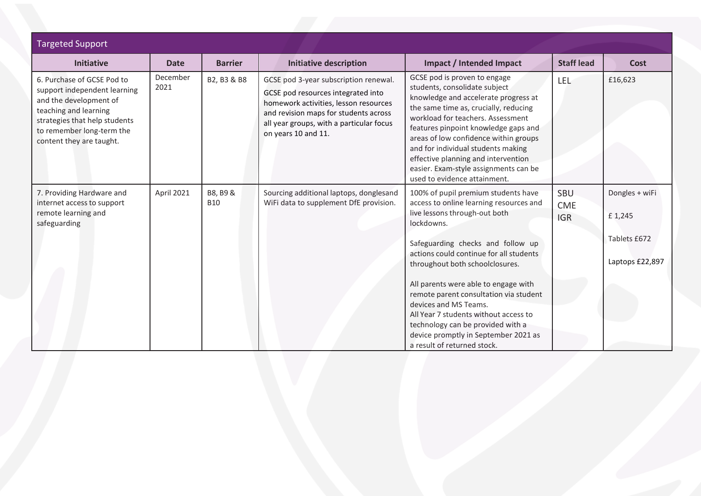| <b>Targeted Support</b>                                                                                                                                                                                 |                  |                        |                                                                                                                                                                                                                                  |                                                                                                                                                                                                                                                                                                                                                                                                                                                                                                                  |                                        |                                                             |
|---------------------------------------------------------------------------------------------------------------------------------------------------------------------------------------------------------|------------------|------------------------|----------------------------------------------------------------------------------------------------------------------------------------------------------------------------------------------------------------------------------|------------------------------------------------------------------------------------------------------------------------------------------------------------------------------------------------------------------------------------------------------------------------------------------------------------------------------------------------------------------------------------------------------------------------------------------------------------------------------------------------------------------|----------------------------------------|-------------------------------------------------------------|
| <b>Initiative</b>                                                                                                                                                                                       | <b>Date</b>      | <b>Barrier</b>         | <b>Initiative description</b>                                                                                                                                                                                                    | Impact / Intended Impact                                                                                                                                                                                                                                                                                                                                                                                                                                                                                         | <b>Staff lead</b>                      | Cost                                                        |
| 6. Purchase of GCSE Pod to<br>support independent learning<br>and the development of<br>teaching and learning<br>strategies that help students<br>to remember long-term the<br>content they are taught. | December<br>2021 | B2, B3 & B8            | GCSE pod 3-year subscription renewal.<br>GCSE pod resources integrated into<br>homework activities, lesson resources<br>and revision maps for students across<br>all year groups, with a particular focus<br>on years 10 and 11. | GCSE pod is proven to engage<br>students, consolidate subject<br>knowledge and accelerate progress at<br>the same time as, crucially, reducing<br>workload for teachers. Assessment<br>features pinpoint knowledge gaps and<br>areas of low confidence within groups<br>and for individual students making<br>effective planning and intervention<br>easier. Exam-style assignments can be<br>used to evidence attainment.                                                                                       | LEL                                    | £16,623                                                     |
| 7. Providing Hardware and<br>internet access to support<br>remote learning and<br>safeguarding                                                                                                          | April 2021       | B8, B9 &<br><b>B10</b> | Sourcing additional laptops, donglesand<br>WiFi data to supplement DfE provision.                                                                                                                                                | 100% of pupil premium students have<br>access to online learning resources and<br>live lessons through-out both<br>lockdowns.<br>Safeguarding checks and follow up<br>actions could continue for all students<br>throughout both schoolclosures.<br>All parents were able to engage with<br>remote parent consultation via student<br>devices and MS Teams.<br>All Year 7 students without access to<br>technology can be provided with a<br>device promptly in September 2021 as<br>a result of returned stock. | <b>SBU</b><br><b>CME</b><br><b>IGR</b> | Dongles + wiFi<br>£1,245<br>Tablets £672<br>Laptops £22,897 |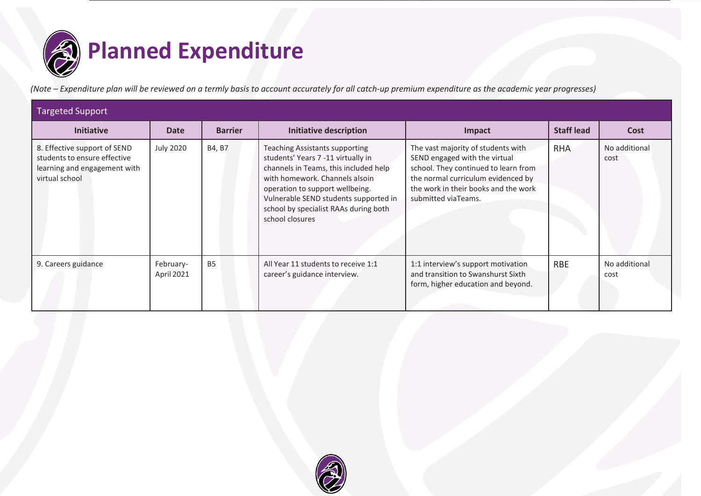

(Note – Expenditure plan will be reviewed on a termly basis to account accurately for all catch-up premium expenditure as the academic year progresses)

| <b>Targeted Support</b>                                                                                        |                         |                |                                                                                                                                                                                                                                                                                                |                                                                                                                                                                                                                  |                   |                       |  |  |
|----------------------------------------------------------------------------------------------------------------|-------------------------|----------------|------------------------------------------------------------------------------------------------------------------------------------------------------------------------------------------------------------------------------------------------------------------------------------------------|------------------------------------------------------------------------------------------------------------------------------------------------------------------------------------------------------------------|-------------------|-----------------------|--|--|
| <b>Initiative</b>                                                                                              | <b>Date</b>             | <b>Barrier</b> | <b>Initiative description</b>                                                                                                                                                                                                                                                                  | Impact                                                                                                                                                                                                           | <b>Staff lead</b> | Cost                  |  |  |
| 8. Effective support of SEND<br>students to ensure effective<br>learning and engagement with<br>virtual school | July 2020               | B4, B7         | <b>Teaching Assistants supporting</b><br>students' Years 7 -11 virtually in<br>channels in Teams, this included help<br>with homework. Channels alsoin<br>operation to support wellbeing.<br>Vulnerable SEND students supported in<br>school by specialist RAAs during both<br>school closures | The vast majority of students with<br>SEND engaged with the virtual<br>school. They continued to learn from<br>the normal curriculum evidenced by<br>the work in their books and the work<br>submitted viaTeams. | <b>RHA</b>        | No additional<br>cost |  |  |
| 9. Careers guidance                                                                                            | February-<br>April 2021 | <b>B5</b>      | All Year 11 students to receive 1:1<br>career's guidance interview.                                                                                                                                                                                                                            | 1:1 interview's support motivation<br>and transition to Swanshurst Sixth<br>form, higher education and beyond.                                                                                                   | <b>RBE</b>        | No additional<br>cost |  |  |

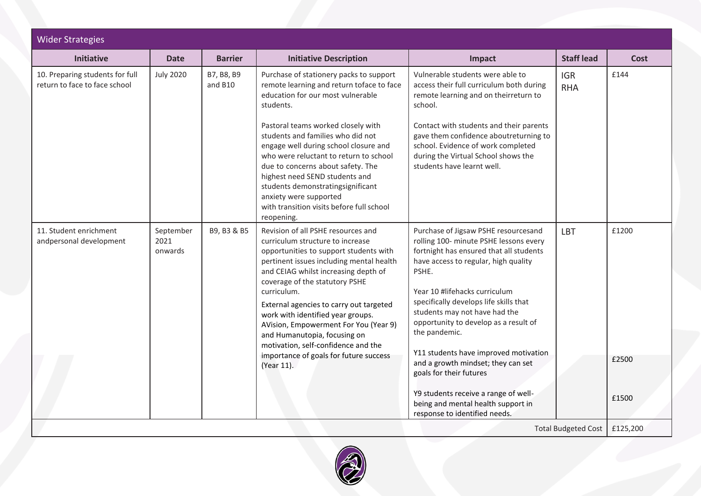| <b>Wider Strategies</b>                                          |                              |                       |                                                                                                                                                                                                                                                                                                                                                                                                                                                                                                               |                                                                                                                                                                                                                                                                                                                                                                                                                                                                                                                                          |                                |                         |
|------------------------------------------------------------------|------------------------------|-----------------------|---------------------------------------------------------------------------------------------------------------------------------------------------------------------------------------------------------------------------------------------------------------------------------------------------------------------------------------------------------------------------------------------------------------------------------------------------------------------------------------------------------------|------------------------------------------------------------------------------------------------------------------------------------------------------------------------------------------------------------------------------------------------------------------------------------------------------------------------------------------------------------------------------------------------------------------------------------------------------------------------------------------------------------------------------------------|--------------------------------|-------------------------|
| <b>Initiative</b>                                                | <b>Date</b>                  | <b>Barrier</b>        | <b>Initiative Description</b>                                                                                                                                                                                                                                                                                                                                                                                                                                                                                 | Impact                                                                                                                                                                                                                                                                                                                                                                                                                                                                                                                                   | <b>Staff lead</b>              | Cost                    |
| 10. Preparing students for full<br>return to face to face school | <b>July 2020</b>             | B7, B8, B9<br>and B10 | Purchase of stationery packs to support<br>remote learning and return toface to face<br>education for our most vulnerable<br>students.<br>Pastoral teams worked closely with<br>students and families who did not<br>engage well during school closure and<br>who were reluctant to return to school<br>due to concerns about safety. The<br>highest need SEND students and<br>students demonstratingsignificant<br>anxiety were supported<br>with transition visits before full school<br>reopening.         | Vulnerable students were able to<br>access their full curriculum both during<br>remote learning and on theirreturn to<br>school.<br>Contact with students and their parents<br>gave them confidence aboutreturning to<br>school. Evidence of work completed<br>during the Virtual School shows the<br>students have learnt well.                                                                                                                                                                                                         | <b>IGR</b><br><b>RHA</b>       | £144                    |
| 11. Student enrichment<br>andpersonal development                | September<br>2021<br>onwards | B9, B3 & B5           | Revision of all PSHE resources and<br>curriculum structure to increase<br>opportunities to support students with<br>pertinent issues including mental health<br>and CEIAG whilst increasing depth of<br>coverage of the statutory PSHE<br>curriculum.<br>External agencies to carry out targeted<br>work with identified year groups.<br>AVision, Empowerment For You (Year 9)<br>and Humanutopia, focusing on<br>motivation, self-confidence and the<br>importance of goals for future success<br>(Year 11). | Purchase of Jigsaw PSHE resourcesand<br>rolling 100- minute PSHE lessons every<br>fortnight has ensured that all students<br>have access to regular, high quality<br>PSHE.<br>Year 10 #lifehacks curriculum<br>specifically develops life skills that<br>students may not have had the<br>opportunity to develop as a result of<br>the pandemic.<br>Y11 students have improved motivation<br>and a growth mindset; they can set<br>goals for their futures<br>Y9 students receive a range of well-<br>being and mental health support in | LBT                            | £1200<br>£2500<br>£1500 |
|                                                                  |                              |                       |                                                                                                                                                                                                                                                                                                                                                                                                                                                                                                               | response to identified needs.                                                                                                                                                                                                                                                                                                                                                                                                                                                                                                            | Total Budgeted Cost   £125,200 |                         |

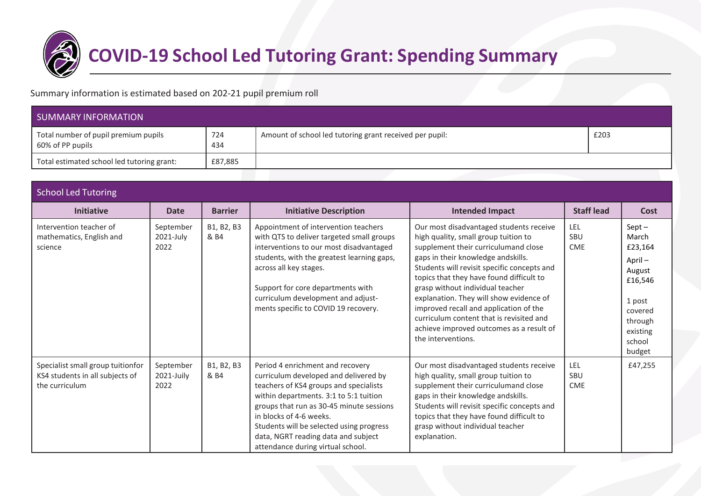

# **COVID-19 School Led Tutoring Grant: Spending Summary**

Summary information is estimated based on 202-21 pupil premium roll

| SUMMARY INFORMATION                                      |            |                                                         |      |  |  |  |
|----------------------------------------------------------|------------|---------------------------------------------------------|------|--|--|--|
| Total number of pupil premium pupils<br>60% of PP pupils | 724<br>434 | Amount of school led tutoring grant received per pupil: | £203 |  |  |  |
| Total estimated school led tutoring grant:               | £87,885    |                                                         |      |  |  |  |

| <b>School Led Tutoring</b>                                                             |                                 |                    |                                                                                                                                                                                                                                                                                                                                                              |                                                                                                                                                                                                                                                                                                                                                                                                                                                                                                 |                                 |                                                                                                                             |  |  |
|----------------------------------------------------------------------------------------|---------------------------------|--------------------|--------------------------------------------------------------------------------------------------------------------------------------------------------------------------------------------------------------------------------------------------------------------------------------------------------------------------------------------------------------|-------------------------------------------------------------------------------------------------------------------------------------------------------------------------------------------------------------------------------------------------------------------------------------------------------------------------------------------------------------------------------------------------------------------------------------------------------------------------------------------------|---------------------------------|-----------------------------------------------------------------------------------------------------------------------------|--|--|
| <b>Initiative</b>                                                                      | <b>Date</b>                     | <b>Barrier</b>     | <b>Initiative Description</b>                                                                                                                                                                                                                                                                                                                                | <b>Intended Impact</b>                                                                                                                                                                                                                                                                                                                                                                                                                                                                          | <b>Staff lead</b>               | Cost                                                                                                                        |  |  |
| Intervention teacher of<br>mathematics, English and<br>science                         | September<br>2021-July<br>2022  | B1, B2, B3<br>& B4 | Appointment of intervention teachers<br>with QTS to deliver targeted small groups<br>interventions to our most disadvantaged<br>students, with the greatest learning gaps,<br>across all key stages.<br>Support for core departments with<br>curriculum development and adjust-<br>ments specific to COVID 19 recovery.                                      | Our most disadvantaged students receive<br>high quality, small group tuition to<br>supplement their curriculumand close<br>gaps in their knowledge andskills.<br>Students will revisit specific concepts and<br>topics that they have found difficult to<br>grasp without individual teacher<br>explanation. They will show evidence of<br>improved recall and application of the<br>curriculum content that is revisited and<br>achieve improved outcomes as a result of<br>the interventions. | LEL<br>SBU<br><b>CME</b>        | $Sept -$<br>March<br>£23,164<br>April-<br>August<br>£16,546<br>1 post<br>covered<br>through<br>existing<br>school<br>budget |  |  |
| Specialist small group tuitionfor<br>KS4 students in all subjects of<br>the curriculum | September<br>2021-Juily<br>2022 | B1, B2, B3<br>& B4 | Period 4 enrichment and recovery<br>curriculum developed and delivered by<br>teachers of KS4 groups and specialists<br>within departments. 3:1 to 5:1 tuition<br>groups that run as 30-45 minute sessions<br>in blocks of 4-6 weeks.<br>Students will be selected using progress<br>data, NGRT reading data and subject<br>attendance during virtual school. | Our most disadvantaged students receive<br>high quality, small group tuition to<br>supplement their curriculumand close<br>gaps in their knowledge andskills.<br>Students will revisit specific concepts and<br>topics that they have found difficult to<br>grasp without individual teacher<br>explanation.                                                                                                                                                                                    | LEL<br><b>SBU</b><br><b>CME</b> | £47,255                                                                                                                     |  |  |